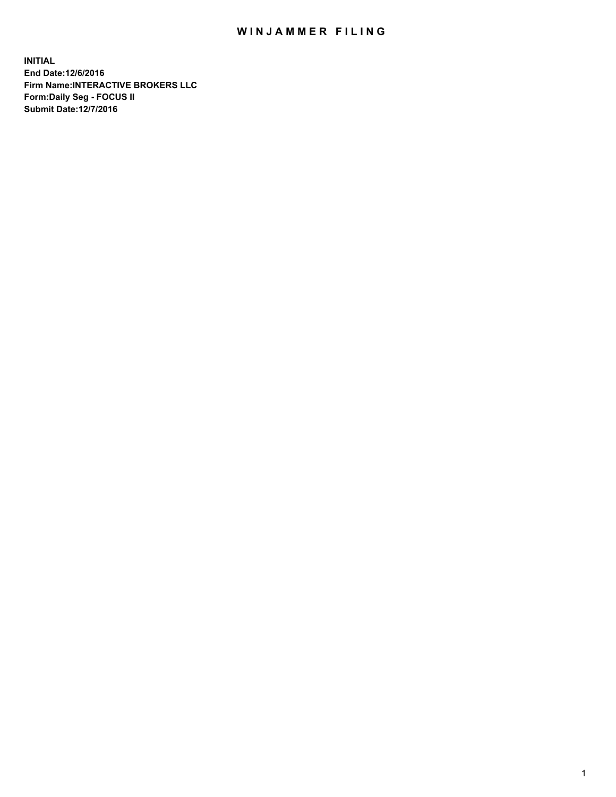## WIN JAMMER FILING

**INITIAL End Date:12/6/2016 Firm Name:INTERACTIVE BROKERS LLC Form:Daily Seg - FOCUS II Submit Date:12/7/2016**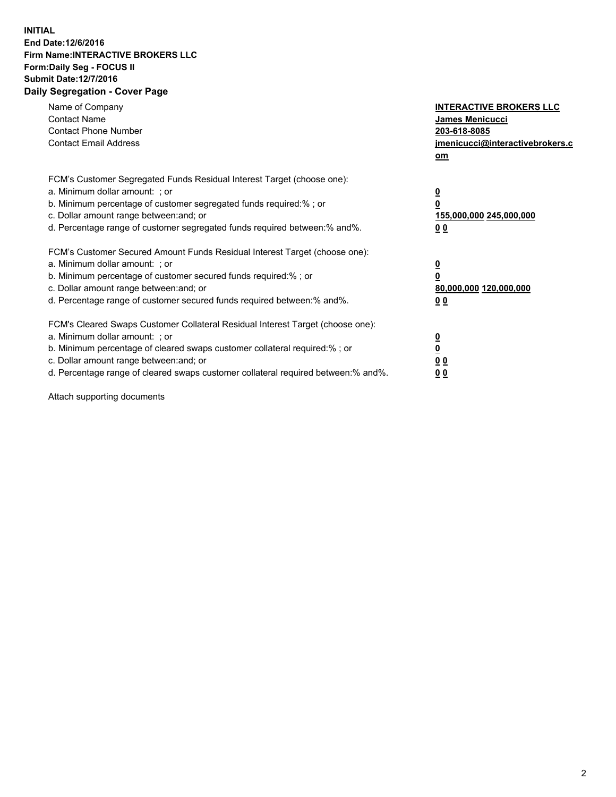## **INITIAL End Date:12/6/2016 Firm Name:INTERACTIVE BROKERS LLC Form:Daily Seg - FOCUS II Submit Date:12/7/2016 Daily Segregation - Cover Page**

| Name of Company<br><b>Contact Name</b><br><b>Contact Phone Number</b><br><b>Contact Email Address</b>                                                                                                                                                                                                                          | <b>INTERACTIVE BROKERS LLC</b><br>James Menicucci<br>203-618-8085<br>jmenicucci@interactivebrokers.c<br>om |
|--------------------------------------------------------------------------------------------------------------------------------------------------------------------------------------------------------------------------------------------------------------------------------------------------------------------------------|------------------------------------------------------------------------------------------------------------|
| FCM's Customer Segregated Funds Residual Interest Target (choose one):<br>a. Minimum dollar amount: ; or<br>b. Minimum percentage of customer segregated funds required:%; or<br>c. Dollar amount range between: and; or<br>d. Percentage range of customer segregated funds required between:% and%.                          | $\overline{\mathbf{0}}$<br>0<br>155,000,000 245,000,000<br>0 <sub>0</sub>                                  |
| FCM's Customer Secured Amount Funds Residual Interest Target (choose one):<br>a. Minimum dollar amount: ; or<br>b. Minimum percentage of customer secured funds required:%; or<br>c. Dollar amount range between: and; or<br>d. Percentage range of customer secured funds required between:% and%.                            | $\overline{\mathbf{0}}$<br>$\overline{\mathbf{0}}$<br>80,000,000 120,000,000<br>00                         |
| FCM's Cleared Swaps Customer Collateral Residual Interest Target (choose one):<br>a. Minimum dollar amount: ; or<br>b. Minimum percentage of cleared swaps customer collateral required:% ; or<br>c. Dollar amount range between: and; or<br>d. Percentage range of cleared swaps customer collateral required between:% and%. | $\overline{\mathbf{0}}$<br>$\overline{\mathbf{0}}$<br>0 <sub>0</sub><br><u>00</u>                          |

Attach supporting documents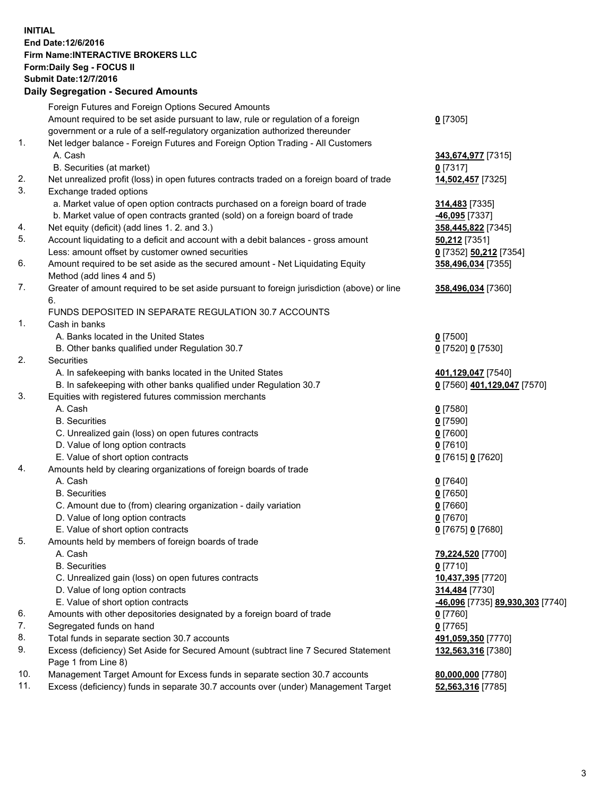## **INITIAL End Date:12/6/2016 Firm Name:INTERACTIVE BROKERS LLC Form:Daily Seg - FOCUS II Submit Date:12/7/2016 Daily Segregation - Secured Amounts**

|     | Dany Ocgregation - Oceanea Annoanta                                                                        |                                  |
|-----|------------------------------------------------------------------------------------------------------------|----------------------------------|
|     | Foreign Futures and Foreign Options Secured Amounts                                                        |                                  |
|     | Amount required to be set aside pursuant to law, rule or regulation of a foreign                           | $0$ [7305]                       |
|     | government or a rule of a self-regulatory organization authorized thereunder                               |                                  |
| 1.  | Net ledger balance - Foreign Futures and Foreign Option Trading - All Customers                            |                                  |
|     | A. Cash                                                                                                    | 343,674,977 [7315]               |
|     | B. Securities (at market)                                                                                  | 0 [7317]                         |
| 2.  | Net unrealized profit (loss) in open futures contracts traded on a foreign board of trade                  | 14,502,457 [7325]                |
| 3.  | Exchange traded options                                                                                    |                                  |
|     | a. Market value of open option contracts purchased on a foreign board of trade                             | 314,483 [7335]                   |
|     | b. Market value of open contracts granted (sold) on a foreign board of trade                               | -46,095 [7337]                   |
| 4.  | Net equity (deficit) (add lines 1.2. and 3.)                                                               | 358,445,822 [7345]               |
| 5.  | Account liquidating to a deficit and account with a debit balances - gross amount                          | <b>50,212</b> [7351]             |
|     | Less: amount offset by customer owned securities                                                           | 0 [7352] 50,212 [7354]           |
| 6.  | Amount required to be set aside as the secured amount - Net Liquidating Equity                             | 358,496,034 [7355]               |
|     | Method (add lines 4 and 5)                                                                                 |                                  |
| 7.  | Greater of amount required to be set aside pursuant to foreign jurisdiction (above) or line                | 358,496,034 [7360]               |
|     | 6.                                                                                                         |                                  |
|     | FUNDS DEPOSITED IN SEPARATE REGULATION 30.7 ACCOUNTS                                                       |                                  |
| 1.  | Cash in banks                                                                                              |                                  |
|     | A. Banks located in the United States                                                                      | $0$ [7500]                       |
|     | B. Other banks qualified under Regulation 30.7                                                             | 0 [7520] 0 [7530]                |
| 2.  | Securities                                                                                                 |                                  |
|     | A. In safekeeping with banks located in the United States                                                  | 401,129,047 [7540]               |
|     | B. In safekeeping with other banks qualified under Regulation 30.7                                         | 0 [7560] 401,129,047 [7570]      |
| 3.  | Equities with registered futures commission merchants                                                      |                                  |
|     | A. Cash                                                                                                    | $0$ [7580]                       |
|     | <b>B.</b> Securities                                                                                       | $0$ [7590]                       |
|     | C. Unrealized gain (loss) on open futures contracts                                                        | $0$ [7600]                       |
|     | D. Value of long option contracts                                                                          | $0$ [7610]                       |
|     | E. Value of short option contracts                                                                         | 0 [7615] 0 [7620]                |
| 4.  | Amounts held by clearing organizations of foreign boards of trade                                          |                                  |
|     | A. Cash                                                                                                    | $0$ [7640]                       |
|     | <b>B.</b> Securities                                                                                       | $0$ [7650]                       |
|     | C. Amount due to (from) clearing organization - daily variation                                            | $0$ [7660]                       |
|     | D. Value of long option contracts                                                                          | $0$ [7670]                       |
|     | E. Value of short option contracts                                                                         | 0 [7675] 0 [7680]                |
| 5.  |                                                                                                            |                                  |
|     | Amounts held by members of foreign boards of trade<br>A. Cash                                              |                                  |
|     | <b>B.</b> Securities                                                                                       | 79,224,520 [7700]                |
|     |                                                                                                            | $0$ [7710]                       |
|     | C. Unrealized gain (loss) on open futures contracts                                                        | 10,437,395 [7720]                |
|     | D. Value of long option contracts                                                                          | 314,484 [7730]                   |
|     | E. Value of short option contracts                                                                         | -46,096 [7735] 89,930,303 [7740] |
| 6.  | Amounts with other depositories designated by a foreign board of trade                                     | 0 [7760]                         |
| 7.  | Segregated funds on hand                                                                                   | $0$ [7765]                       |
| 8.  | Total funds in separate section 30.7 accounts                                                              | 491,059,350 [7770]               |
| 9.  | Excess (deficiency) Set Aside for Secured Amount (subtract line 7 Secured Statement<br>Page 1 from Line 8) | 132,563,316 [7380]               |
| 10. | Management Target Amount for Excess funds in separate section 30.7 accounts                                | 80,000,000 [7780]                |
| 11. | Excess (deficiency) funds in separate 30.7 accounts over (under) Management Target                         | 52,563,316 [7785]                |
|     |                                                                                                            |                                  |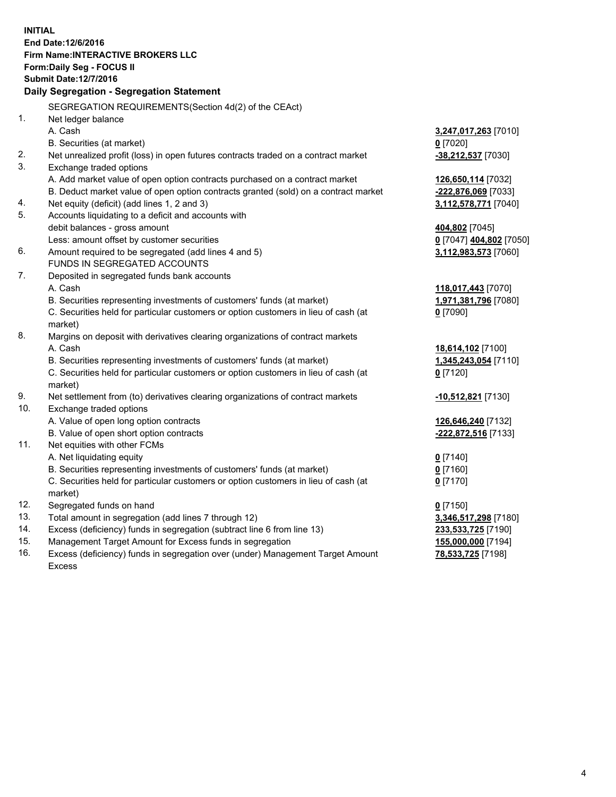**INITIAL End Date:12/6/2016 Firm Name:INTERACTIVE BROKERS LLC Form:Daily Seg - FOCUS II Submit Date:12/7/2016 Daily Segregation - Segregation Statement** SEGREGATION REQUIREMENTS(Section 4d(2) of the CEAct) 1. Net ledger balance A. Cash **3,247,017,263** [7010] B. Securities (at market) **0** [7020] 2. Net unrealized profit (loss) in open futures contracts traded on a contract market **-38,212,537** [7030] 3. Exchange traded options A. Add market value of open option contracts purchased on a contract market **126,650,114** [7032] B. Deduct market value of open option contracts granted (sold) on a contract market **-222,876,069** [7033] 4. Net equity (deficit) (add lines 1, 2 and 3) **3,112,578,771** [7040] 5. Accounts liquidating to a deficit and accounts with debit balances - gross amount **404,802** [7045] Less: amount offset by customer securities **0** [7047] **404,802** [7050] 6. Amount required to be segregated (add lines 4 and 5) **3,112,983,573** [7060] FUNDS IN SEGREGATED ACCOUNTS 7. Deposited in segregated funds bank accounts A. Cash **118,017,443** [7070] B. Securities representing investments of customers' funds (at market) **1,971,381,796** [7080] C. Securities held for particular customers or option customers in lieu of cash (at market) **0** [7090] 8. Margins on deposit with derivatives clearing organizations of contract markets A. Cash **18,614,102** [7100] B. Securities representing investments of customers' funds (at market) **1,345,243,054** [7110] C. Securities held for particular customers or option customers in lieu of cash (at market) **0** [7120] 9. Net settlement from (to) derivatives clearing organizations of contract markets **-10,512,821** [7130] 10. Exchange traded options A. Value of open long option contracts **126,646,240** [7132] B. Value of open short option contracts **-222,872,516** [7133] 11. Net equities with other FCMs A. Net liquidating equity **0** [7140] B. Securities representing investments of customers' funds (at market) **0** [7160] C. Securities held for particular customers or option customers in lieu of cash (at market) **0** [7170] 12. Segregated funds on hand **0** [7150] 13. Total amount in segregation (add lines 7 through 12) **3,346,517,298** [7180] 14. Excess (deficiency) funds in segregation (subtract line 6 from line 13) **233,533,725** [7190] 15. Management Target Amount for Excess funds in segregation **155,000,000** [7194] **78,533,725** [7198]

16. Excess (deficiency) funds in segregation over (under) Management Target Amount Excess